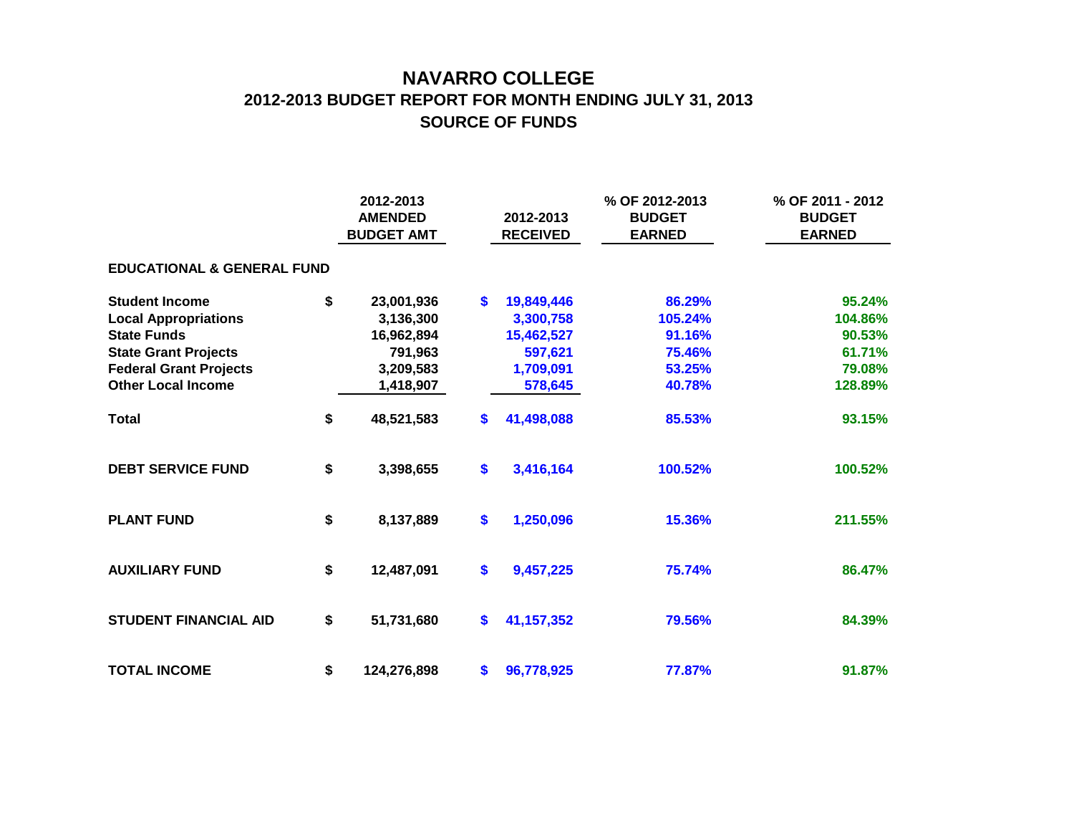## **NAVARRO COLLEGE 2012-2013 BUDGET REPORT FOR MONTH ENDING JULY 31, 2013 SOURCE OF FUNDS**

|                                       | 2012-2013<br><b>AMENDED</b><br><b>BUDGET AMT</b> | 2012-2013<br><b>RECEIVED</b> | % OF 2012-2013<br><b>BUDGET</b><br><b>EARNED</b> | % OF 2011 - 2012<br><b>BUDGET</b><br><b>EARNED</b> |
|---------------------------------------|--------------------------------------------------|------------------------------|--------------------------------------------------|----------------------------------------------------|
| <b>EDUCATIONAL &amp; GENERAL FUND</b> |                                                  |                              |                                                  |                                                    |
| <b>Student Income</b>                 | \$<br>23,001,936                                 | \$<br>19,849,446             | 86.29%                                           | 95.24%                                             |
| <b>Local Appropriations</b>           | 3,136,300                                        | 3,300,758                    | 105.24%                                          | 104.86%                                            |
| <b>State Funds</b>                    | 16,962,894                                       | 15,462,527                   | 91.16%                                           | 90.53%                                             |
| <b>State Grant Projects</b>           | 791,963                                          | 597,621                      | 75.46%                                           | 61.71%                                             |
| <b>Federal Grant Projects</b>         | 3,209,583                                        | 1,709,091                    | 53.25%                                           | 79.08%                                             |
| <b>Other Local Income</b>             | 1,418,907                                        | 578,645                      | 40.78%                                           | 128.89%                                            |
| <b>Total</b>                          | \$<br>48,521,583                                 | \$<br>41,498,088             | 85.53%                                           | 93.15%                                             |
| <b>DEBT SERVICE FUND</b>              | \$<br>3,398,655                                  | \$<br>3,416,164              | 100.52%                                          | 100.52%                                            |
| <b>PLANT FUND</b>                     | \$<br>8,137,889                                  | \$<br>1,250,096              | 15.36%                                           | 211.55%                                            |
| <b>AUXILIARY FUND</b>                 | \$<br>12,487,091                                 | \$<br>9,457,225              | 75.74%                                           | 86.47%                                             |
| <b>STUDENT FINANCIAL AID</b>          | \$<br>51,731,680                                 | \$<br>41, 157, 352           | 79.56%                                           | 84.39%                                             |
| <b>TOTAL INCOME</b>                   | \$<br>124,276,898                                | \$<br>96,778,925             | 77.87%                                           | 91.87%                                             |